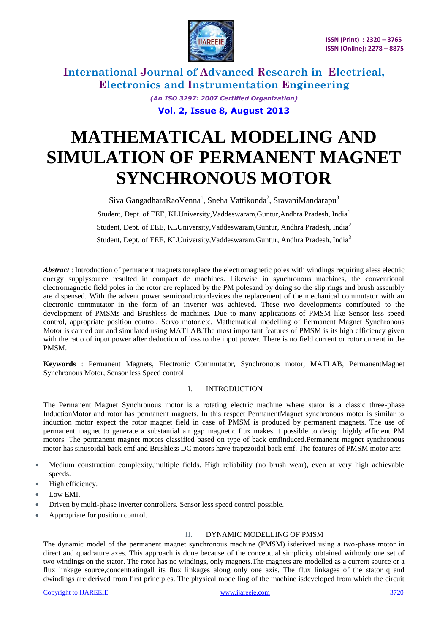

> *(An ISO 3297: 2007 Certified Organization)* **Vol. 2, Issue 8, August 2013**

# **MATHEMATICAL MODELING AND SIMULATION OF PERMANENT MAGNET SYNCHRONOUS MOTOR**

Siva GangadharaRaoVenna<sup>1</sup>, Sneha Vattikonda<sup>2</sup>, SravaniMandarapu<sup>3</sup> Student, Dept. of EEE, KLUniversity,Vaddeswaram,Guntur,Andhra Pradesh, India<sup>1</sup> Student, Dept. of EEE, KLUniversity,Vaddeswaram,Guntur, Andhra Pradesh, India<sup>2</sup> Student, Dept. of EEE, KLUniversity,Vaddeswaram,Guntur, Andhra Pradesh, India<sup>3</sup>

*Abstract* : Introduction of permanent magnets toreplace the electromagnetic poles with windings requiring aless electric energy supplysource resulted in compact dc machines. Likewise in synchronous machines, the conventional electromagnetic field poles in the rotor are replaced by the PM polesand by doing so the slip rings and brush assembly are dispensed. With the advent power semiconductordevices the replacement of the mechanical commutator with an electronic commutator in the form of an inverter was achieved. These two developments contributed to the development of PMSMs and Brushless dc machines. Due to many applications of PMSM like Sensor less speed control, appropriate position control, Servo motor,etc. Mathematical modelling of Permanent Magnet Synchronous Motor is carried out and simulated using MATLAB.The most important features of PMSM is its high efficiency given with the ratio of input power after deduction of loss to the input power. There is no field current or rotor current in the PMSM.

**Keywords** : Permanent Magnets, Electronic Commutator, Synchronous motor, MATLAB, PermanentMagnet Synchronous Motor, Sensor less Speed control.

#### I. INTRODUCTION

The Permanent Magnet Synchronous motor is a rotating electric machine where stator is a classic three-phase InductionMotor and rotor has permanent magnets. In this respect PermanentMagnet synchronous motor is similar to induction motor expect the rotor magnet field in case of PMSM is produced by permanent magnets. The use of permanent magnet to generate a substantial air gap magnetic flux makes it possible to design highly efficient PM motors. The permanent magnet motors classified based on type of back emfinduced.Permanent magnet synchronous motor has sinusoidal back emf and Brushless DC motors have trapezoidal back emf. The features of PMSM motor are:

- Medium construction complexity,multiple fields. High reliability (no brush wear), even at very high achievable speeds.
- High efficiency.
- Low EMI.
- Driven by multi-phase inverter controllers. Sensor less speed control possible.
- Appropriate for position control.

#### II. DYNAMIC MODELLING OF PMSM

The dynamic model of the permanent magnet synchronous machine (PMSM) isderived using a two-phase motor in direct and quadrature axes. This approach is done because of the conceptual simplicity obtained withonly one set of two windings on the stator. The rotor has no windings, only magnets.The magnets are modelled as a current source or a flux linkage source,concentratingall its flux linkages along only one axis. The flux linkages of the stator q and dwindings are derived from first principles. The physical modelling of the machine isdeveloped from which the circuit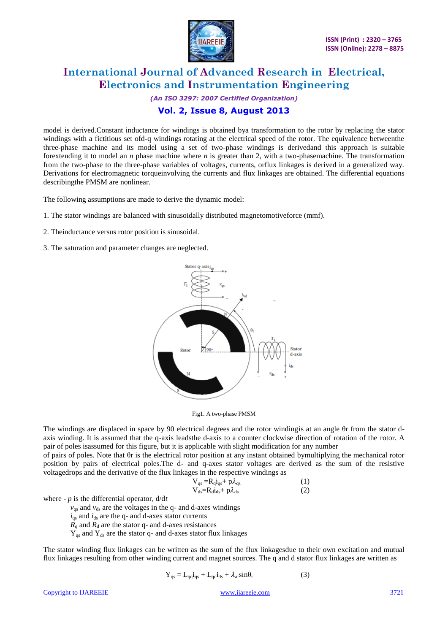

*(An ISO 3297: 2007 Certified Organization)* **Vol. 2, Issue 8, August 2013**

model is derived.Constant inductance for windings is obtained bya transformation to the rotor by replacing the stator windings with a fictitious set ofd-q windings rotating at the electrical speed of the rotor. The equivalence betweenthe three-phase machine and its model using a set of two-phase windings is derivedand this approach is suitable forextending it to model an *n* phase machine where *n* is greater than 2, with a two-phasemachine. The transformation from the two-phase to the three-phase variables of voltages, currents, orflux linkages is derived in a generalized way. Derivations for electromagnetic torqueinvolving the currents and flux linkages are obtained. The differential equations describingthe PMSM are nonlinear.

The following assumptions are made to derive the dynamic model:

- 1. The stator windings are balanced with sinusoidally distributed magnetomotiveforce (mmf).
- 2. Theinductance versus rotor position is sinusoidal.
- 3. The saturation and parameter changes are neglected.





The windings are displaced in space by 90 electrical degrees and the rotor windingis at an angle θr from the stator daxis winding. It is assumed that the q-axis leadsthe d-axis to a counter clockwise direction of rotation of the rotor. A pair of poles isassumed for this figure, but it is applicable with slight modification for any number

of pairs of poles. Note that θr is the electrical rotor position at any instant obtained bymultiplying the mechanical rotor position by pairs of electrical poles.The d- and q-axes stator voltages are derived as the sum of the resistive voltagedrops and the derivative of the flux linkages in the respective windings as

$$
V_{qs} = R_q i_{qs} + p \lambda_{qs}
$$
  
\n
$$
V_{ds} = R_d i_{ds} + p \lambda_{ds}
$$
 (1)

where - *p* is the differential operator, d/d*t*

 $v_{\text{qs}}$  and  $v_{\text{ds}}$  are the voltages in the q- and d-axes windings

 $i_{\text{qs}}$  and  $i_{\text{ds}}$  are the q- and d-axes stator currents

 $R_{q}$  and  $R_{d}$  are the stator q- and d-axes resistances

 $Y_{qs}$  and  $Y_{ds}$  are the stator q- and d-axes stator flux linkages

The stator winding flux linkages can be written as the sum of the flux linkagesdue to their own excitation and mutual flux linkages resulting from other winding current and magnet sources. The q and d stator flux linkages are written as

$$
Y_{qs} = L_{qq}i_{qs} + L_{qd}i_{ds} + \lambda_{af}sin\theta_r
$$
 (3)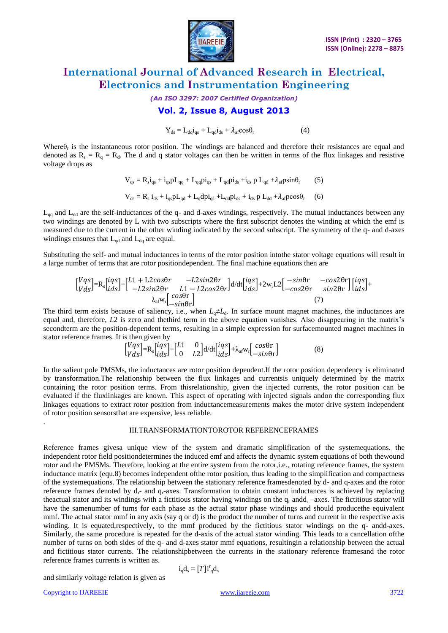

*(An ISO 3297: 2007 Certified Organization)*

#### **Vol. 2, Issue 8, August 2013**

 $Y_{ds} = L_{dq}i_{qs} + L_{qd}i_{ds} + \lambda_{af}cos\theta_r$  (4)

Where $\theta_r$  is the instantaneous rotor position. The windings are balanced and therefore their resistances are equal and denoted as  $R_s = R_q = R_d$ . The d and q stator voltages can then be written in terms of the flux linkages and resistive voltage drops as

$$
V_{qs} = R_s i_{qs} + i_{qs} p L_{qq} + L_{qq} p i_{qs} + L_{qd} p i_{ds} + i_{ds} p L_{qd} + \lambda_{af} p \sin \theta_r
$$
 (5)  

$$
V_{ds} = R_s i_{ds} + i_{qs} p L_{qd} + L_q d p i_{qs} + L_{dd} p i_{ds} + i_{ds} p L_{dd} + \lambda_{af} p \cos \theta_r
$$
 (6)

 $L_{qq}$  and  $L_{dd}$  are the self-inductances of the q- and d-axes windings, respectively. The mutual inductances between any two windings are denoted by L with two subscripts where the first subscript denotes the winding at which the emf is measured due to the current in the other winding indicated by the second subscript. The symmetry of the q- and d-axes windings ensures that  $L_{qd}$  and  $L_{dq}$  are equal.

Substituting the self- and mutual inductances in terms of the rotor position intothe stator voltage equations will result in a large number of terms that are rotor positiondependent. The final machine equations then are

$$
\begin{bmatrix}\nVqs \\
Vds\n\end{bmatrix} = R_s \begin{bmatrix}\nigs \\
ids\n\end{bmatrix} + \begin{bmatrix}\nL1 + L2cos\theta r & -L2sin2\theta r \\
-L2sin2\theta r & L1 - L2cos2\theta r\n\end{bmatrix} d/dt \begin{bmatrix}\nigs \\
ids\n\end{bmatrix} + 2w_r L2 \begin{bmatrix}\n-sin\theta r & -cos2\theta r \\
-cos2\theta r & sin2\theta r\n\end{bmatrix} \begin{bmatrix}\nigs \\
ids\n\end{bmatrix} + \lambda_{\text{af}} w_r \begin{bmatrix}\ncos\theta r \\
-sin\theta r\n\end{bmatrix}
$$
\n(7)

The third term exists because of saliency, i.e., when  $L_q \neq L_d$ . In surface mount magnet machines, the inductances are equal and, therefore, *L*2 is zero and thethird term in the above equation vanishes. Also disappearing in the matrix's secondterm are the position-dependent terms, resulting in a simple expression for surfacemounted magnet machines in stator reference frames. It is then given by

$$
\begin{bmatrix} Vqs \\ Vds \end{bmatrix} = R_s \begin{bmatrix} iqs \\ ids \end{bmatrix} + \begin{bmatrix} L1 & 0 \\ 0 & L2 \end{bmatrix} d/dt \begin{bmatrix} iqs \\ ids \end{bmatrix} + \lambda_{\text{af}} w_r \begin{bmatrix} cos\theta r \\ -sin\theta r \end{bmatrix}
$$
 (8)

In the salient pole PMSMs, the inductances are rotor position dependent.If the rotor position dependency is eliminated by transformation.The relationship between the flux linkages and currentsis uniquely determined by the matrix containing the rotor position terms. From thisrelationship, given the injected currents, the rotor position can be evaluated if the fluxlinkages are known. This aspect of operating with injected signals andon the corresponding flux linkages equations to extract rotor position from inductancemeasurements makes the motor drive system independent of rotor position sensorsthat are expensive, less reliable.

#### III.TRANSFORMATIONTOROTOR REFERENCEFRAMES

Reference frames givesa unique view of the system and dramatic simplification of the systemequations. the independent rotor field positiondetermines the induced emf and affects the dynamic system equations of both thewound rotor and the PMSMs. Therefore, looking at the entire system from the rotor,i.e., rotating reference frames, the system inductance matrix (equ.8) becomes independent ofthe rotor position, thus leading to the simplification and compactness of the systemequations. The relationship between the stationary reference framesdenoted by d- and q-axes and the rotor reference frames denoted by  $d_r$ - and  $q_r$ -axes. Transformation to obtain constant inductances is achieved by replacing theactual stator and its windings with a fictitious stator having windings on the  $q_r$  and  $d_r$  –axes. The fictitious stator will have the samenumber of turns for each phase as the actual stator phase windings and should producethe equivalent mmf. The actual stator mmf in any axis (say q or d) is the product the number of turns and current in the respective axis winding. It is equated, respectively, to the mmf produced by the fictitious stator windings on the q- andd-axes. Similarly, the same procedure is repeated for the d-axis of the actual stator winding. This leads to a cancellation ofthe number of turns on both sides of the q- and d-axes stator mmf equations, resultingin a relationship between the actual and fictitious stator currents. The relationshipbetween the currents in the stationary reference framesand the rotor reference frames currents is written as.

and similarly voltage relation is given as

$$
\mathbf{i}_{\mathbf{q}}\mathbf{d}_{\mathbf{s}} = [T]\mathbf{i}^{\mathbf{r}}{}_{\mathbf{q}}\mathbf{d}_{\mathbf{s}}
$$

Copyright to IJAREEIE [www.ijareeie.com](http://www.ijareeie.com/) 3722

.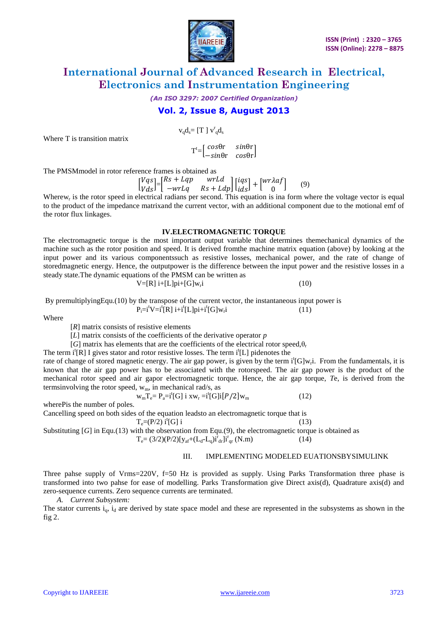

*(An ISO 3297: 2007 Certified Organization)*

#### **Vol. 2, Issue 8, August 2013**

$$
v_q d_s = [T] v^r_q d_s
$$

Where T is transition matrix

 $T^t = \begin{bmatrix} cos\theta r & sin\theta r \\ sin\theta r & cos\theta r \end{bmatrix}$  $-\sin\theta r$   $\cos\theta r$ 

The PMSMmodel in rotor reference frames is obtained as

 $\begin{bmatrix} Vqs \\ Vl \end{bmatrix}$  $[Vqs] = \begin{bmatrix} Rs + Lqp & wrLd \\ -wrLq & Rs + Ld \end{bmatrix}$ − +  $\begin{bmatrix} iqs \\ ids \end{bmatrix} + \begin{bmatrix} wr\lambda af \\ 0 \end{bmatrix}$ 0 (9)

Wherew<sub>r</sub> is the rotor speed in electrical radians per second. This equation is ina form where the voltage vector is equal to the product of the impedance matrixand the current vector, with an additional component due to the motional emf of the rotor flux linkages.

#### **IV.ELECTROMAGNETIC TORQUE**

The electromagnetic torque is the most important output variable that determines themechanical dynamics of the machine such as the rotor position and speed. It is derived fromthe machine matrix equation (above) by looking at the input power and its various componentssuch as resistive losses, mechanical power, and the rate of change of storedmagnetic energy. Hence, the outputpower is the difference between the input power and the resistive losses in a steady state.The dynamic equations of the PMSM can be written as  $V=[R]$  i+[L]pi+[G]w<sub>r</sub>i  $(10)$ 

By premultiplyingEqu.(10) by the transpose of the current vector, the instantaneous input power is

$$
P_i = i^t V = i^t [R] i + i^t [L] pi + i^t [G] w_r i
$$

Where

[*R*] matrix consists of resistive elements

[*L*] matrix consists of the coefficients of the derivative operator *p*

[*G*] matrix has elements that are the coefficients of the electrical rotor speed, $\theta_r$ 

The term i<sup>t</sup>[R] I gives stator and rotor resistive losses. The term i<sup>t</sup>[L] pidenotes the

rate of change of stored magnetic energy. The air gap power, is given by the term  $i^{t}[G]w_{r}$  From the fundamentals, it is known that the air gap power has to be associated with the rotorspeed. The air gap power is the product of the mechanical rotor speed and air gapor electromagnetic torque. Hence, the air gap torque, *T*e, is derived from the termsinvolving the rotor speed,  $w_m$ , in mechanical rad/s, as

$$
w_m T_e = P_a = i^t [G] i x w_r = i^t [G] i [P/2] w_m
$$
\n(12)

wherePis the number of poles.

Cancelling speed on both sides of the equation leadsto an electromagnetic torque that is

 $T_e = (P/2) i^t [G] i$  (13)

Substituting [*G*] in Equ.(13) with the observation from Equ.(9), the electromagnetic torque is obtained as  $T_e = (3/2)(P/2)[y_{af} + (L_d - L_q)i_{df}^{\dagger}]i_{qr}^{\dagger}$  (N.m) (14)

#### III. IMPLEMENTING MODELED EUATIONSBYSIMULINK

 $(11)$ 

Three pahse supply of Vrms=220V, f=50 Hz is provided as supply. Using Parks Transformation three phase is transformed into two pahse for ease of modelling. Parks Transformation give Direct axis(d), Quadrature axis(d) and zero-sequence currents. Zero sequence currents are terminated.

*A. Current Subsystem:*

The stator currents  $i_a$ ,  $i_d$  are derived by state space model and these are represented in the subsystems as shown in the fig 2.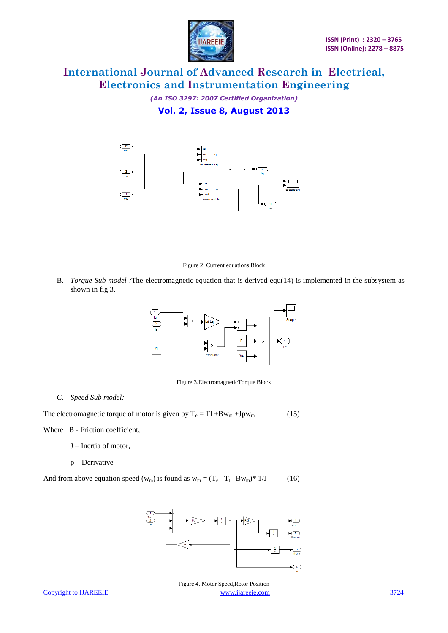

*(An ISO 3297: 2007 Certified Organization)* **Vol. 2, Issue 8, August 2013**



Figure 2. Current equations Block

B. *Torque Sub model :*The electromagnetic equation that is derived equ(14) is implemented in the subsystem as shown in fig 3.



Figure 3.ElectromagneticTorque Block

*C. Speed Sub model:*

The electromagnetic torque of motor is given by  $T_e = Tl + Bw_m + Jpw_m$  (15)

Where B - Friction coefficient,

- J Inertia of motor,
- p Derivative

And from above equation speed  $(w_m)$  is found as  $w_m = (T_e - T_1 - Bw_m)^* 1/J$  (16)

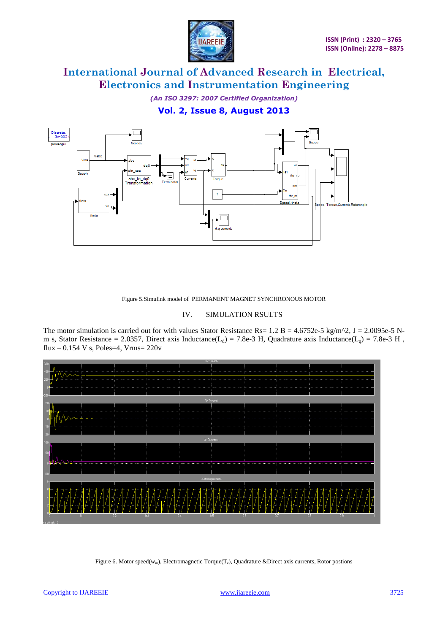

*(An ISO 3297: 2007 Certified Organization)* **Vol. 2, Issue 8, August 2013**



Figure 5.Simulink model of PERMANENT MAGNET SYNCHRONOUS MOTOR

#### IV. SIMULATION RSULTS

The motor simulation is carried out for with values Stator Resistance Rs= 1.2 B = 4.6752e-5 kg/m^2, J = 2.0095e-5 Nm s, Stator Resistance = 2.0357, Direct axis Inductance(L<sub>d</sub>) = 7.8e-3 H, Quadrature axis Inductance(L<sub>q</sub>) = 7.8e-3 H, flux –  $0.154$  V s, Poles=4, Vrms=  $220v$ 



Figure 6. Motor speed( $w_m$ ), Electromagnetic Torque( $T_e$ ), Quadrature &Direct axis currents, Rotor postions